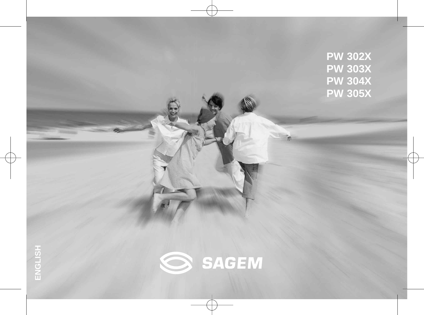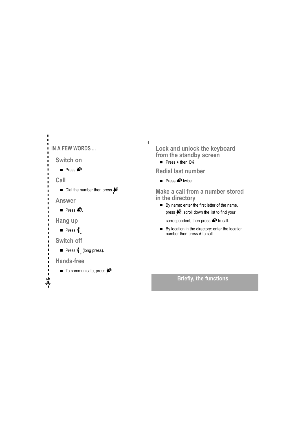| IN A FEW WORDS<br>H                                             |
|-----------------------------------------------------------------|
| Switch on                                                       |
| <b>Press <math>\mathbf{R}^{\circ}</math></b> .                  |
| Call                                                            |
| Dial the number then press $\mathbf{N}$ .<br>П<br>П             |
| П<br><b>Answer</b><br>П                                         |
| п<br><b>Press <math>\mathbf{R}^{\mathfrak{d}}</math></b> .<br>П |
| П<br>Hang up<br>п<br>П                                          |
| п<br><b>Press <math>\left\{ \right.</math></b><br>п             |
| п<br><b>Switch off</b><br>п                                     |
| <b>Press <math>\leftarrow</math> (long press).</b><br>ц<br>п    |
| <b>Hands-free</b>                                               |
| $\blacksquare$ To communicate, press $\clubsuit$ .<br>ı<br>ı    |
|                                                                 |

Lock and unlock the keyboard from the standby screen

**Press**  $*$  **then OK.** 

 $\overline{1}$ 

**Redial last number** 

Press  $\blacklozenge$  twice.

Make a call from a number stored in the directory

By name: enter the first letter of the name, press  $\bigotimes$ , scroll down the list to find your

correspondent, then press  $\bigotimes$  to call.

■ By location in the directory: enter the location<br>number then press \* to call.

### **Briefly, the functions**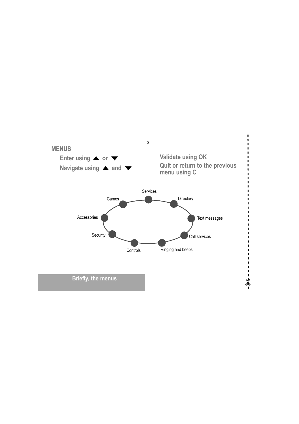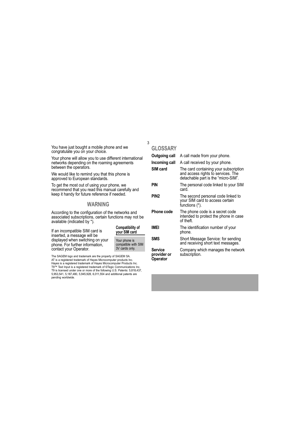You have just bought a mobile phone and we congratulate you on your choice.

Your phone will allow you to use different international networks depending on the roaming agreements between the operators.

We would like to remind you that this phone is approved to European standards.

To get the most out of using your phone, we<br>recommend that you read this manual carefully and<br>keep it handy for future reference if needed.

#### **WARNING**

According to the configuration of the networks and<br>associated subscriptions, certain functions may not be available (indicated by \*).

If an incompatible SIM card is inserted, a message will be displayed when switching on your phone. For further information, contact your Operator.

| <b>Compatibility of</b><br>your SIM card               |
|--------------------------------------------------------|
| Your phone is<br>compatible with SIM<br>3V cards only. |

The SAGEM logo and trademark are the property of SAGEM SA.<br>AT is a registered trademark of Hayes Microcomputer products Inc.<br>Hayes is a registered trademark of Hayes Microcomputer Products Inc. rayes is a registered u adential of rayes witco-computer rrotations inc.<br>T9<sup>TM</sup> Text Input is a registered trademark of ©Tegic Communications Inc.<br>T9 is licensed under one or more of the following U.S. Patents: 5,818,437, 5,953,541, 5,187,480, 5,945,928, 6,011,554 and additional patents are pending worldwide.

#### **GLOSSARY**

 $\overline{3}$ 

| <b>Outgoing call</b>               | A call made from your phone.                                                                                       |
|------------------------------------|--------------------------------------------------------------------------------------------------------------------|
| Incoming call                      | A call received by your phone.                                                                                     |
| SIM card                           | The card containing your subscription<br>and access rights to services. The<br>detachable part is the "micro-SIM". |
| pin                                | The personal code linked to your SIM<br>card.                                                                      |
| PIN2                               | The second personal code linked to<br>your SIM card to access certain<br>functions (*).                            |
| <b>Phone code</b>                  | The phone code is a secret code<br>intended to protect the phone in case<br>of theft.                              |
| IMEI                               | The identification number of your<br>phone.                                                                        |
| <b>SMS</b>                         | Short Message Service: for sending<br>and receiving short text messages.                                           |
| Service<br>provider or<br>Operator | Company which manages the network<br>subscription.                                                                 |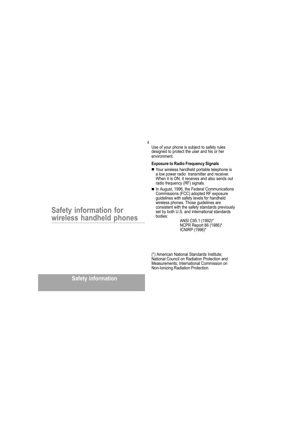Use of your phone is subject to safety rules<br>designed to protect the user and his or her<br>environment.

#### **Exposure to Radio Frequency Signals**

 $\overline{4}$ 

- Your wireless handheld portable telephone is a low power radio transmitter and receiver. When it is ON, it receives and also sends out radio frequency (RF) signals.
- In August, 1996, the Federal Communications Commissions (FCC) adopted RF exposure guidelines with safety levels for handheld<br>wireless phones. Those guidelines are<br>consistent with the safety standards previously set by both U.S. and international standards bodies:

ANSI C95.1 (1992)\*<br>NCPR Report 86 (1986)\*<br>ICNIRP (1996)\*

(\*) American National Standards Institute;<br>National Council on Radiation Protection and<br>Measurements; International Commission on<br>Non-Ionizing Radiation Protection.

**Safety information** 

# Safety information for<br>wireless handheld phones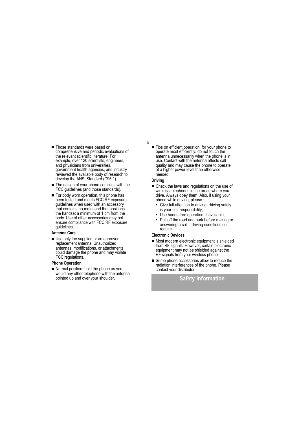- Those standards were based on comprehensive and periodic evaluations of the relevant scientific literature. For example, over 120 scientists, engineers, and physicians from universities. government health agencies, and industry reviewed the available body of research to develop the ANSI Standard (C95.1).
- The design of your phone complies with the FCC guidelines (and those standards).
- For body worn operation, this phone has been tested and meets FCC RF exposure guidelines when used with an accessory<br>that contains no metal and that positions the handset a minimum of 1 cm from the body. Use of other accessories may not ensure compliance with FCC RF exposure guidelines.

#### Antenna Care

Use only the supplied or an approved replacement antenna. Unauthorized antennas, modifications, or attachments could damage the phone and may violate FCC regulations.

#### **Phone Operation**

Normal position: hold the phone as you would any other telephone with the antenna pointed up and over your shoulder.

Tips on efficient operation: for your phone to operate most efficiently: do not touch the antenna unnecessarily when the phone is in use. Contact with the antenna affects call quality and may cause the phone to operate at a higher power level than otherwise needed.

#### **Driving**

5

- Check the laws and regulations on the use of wireless telephones in the areas where you drive. Always obey them. Also, if using your phone while driving, please :
	- Give full attention to driving, driving safely is your first responsibility;
	- Use hands-free operation, if available;
	- Pull off the road and park before making or answering a call if driving conditions so require.

#### **Electronic Devices**

- Most modern electronic equipment is shielded from RF signals. However, certain electronic equipment may not be shielded against the RF signals from your wireless phone.
- Some phone accessories allow to reduce the radiation interferences of the phone. Please contact your distributor.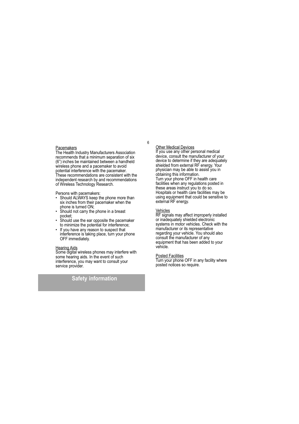#### Pacemakers

The Health Industry Manufacturers Association recommends that a minimum separation of six (6") inches be maintained between a handheld wireless phone and a pacemaker to avoid potential interference with the pacemaker. .<br>These recommendations are consistent with the independent research by and recommendations of Wireless Technology Research.

- Persons with pacemakers:<br>• Should ALWAYS keep the phone more than six inches from their pacemaker when the phone is turned ON;<br>bone is turned ON;<br>Should not carry the phone in a breast
- 
- pocket;<br>pocket;<br>Should use the ear opposite the pacemaker to minimize the potential for interference;
- If you have any reason to suspect that  $\ddot{\phantom{0}}$ interference is taking place, turn your phone OFF immediately.

Hearing Aids<br>Some digital wireless phones may interfere with some hearing aids. In the event of such interference, you may want to consult your service provider.

### **Safety information**

 $6\phantom{1}$ 

Other Medical Devices<br>If you use any other personal medical device, consult the manufacturer of your device to determine if they are adequately shielded from external RF energy. Your physician may be able to assist you in obtaining this information. Turn your phone OFF in health care facilities when any regulations posted in these areas instruct you to do so. Hospitals or health care facilities may be using equipment that could be sensitive to<br>external RF energy.

Vehicles<br>RF signals may affect improperly installed<br>or inadequately shielded electronic<br>materialistics. Check with the systems in motor vehicles. Check with the manufacturer or its representative regarding your vehicle. You should also consult the manufacturer of any equipment that has been added to your vehicle.

Posted Facilities<br>Turn your phone OFF in any facility where posted notices so require.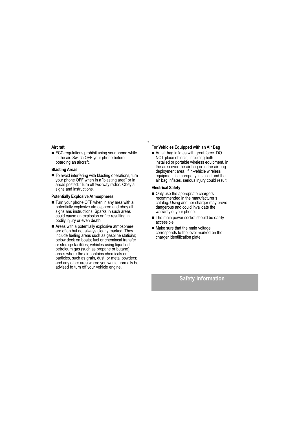#### Aircraft

FCC regulations prohibit using your phone while in the air. Switch OFF your phone before boarding an aircraft.

#### **Blasting Areas**

To avoid interfering with blasting operations, turn your phone OFF when in a "blasting area" or in areas posted: "Turn off two-way radio". Obey all signs and instructions.

#### **Potentially Explosive Atmospheres**

- Turn your phone OFF when in any area with a potentially explosive atmosphere and obey all signs ans instructions. Sparks in such areas could cause an explosion or fire resulting in bodily injury or even death.
- Areas with a potentially explosive atmosphere are often but not always clearly marked. They include fueling areas such as gasoline stations; below deck on boats; fuel or chemincal transfer or storage facilities; vehicles using liquefied petroleum gas (such as propane or butane); areas where the air contains chemicals or particles, such as grain, dust, or metal powders; and any other area where you would normally be advised to turn off your vehicle engine.

### For Vehicles Equipped with an Air Bag

An air bag inflates with great force. DO NOT place objects, including both installed or portable wireless equipment, in the area over the air bag or in the air bag deployment area. If in-vehicle wireless equipment is improperly installed and the air bag inflates, serious injury could result.

#### **Electrical Safety**

 $\overline{7}$ 

- Only use the appropriate chargers recommended in the manufacturer's catalog. Using another charger may prove dangerous and could invalidate the warranty of your phone.
- The main power socket should be easily accessible.
- Make sure that the main voltage corresponds to the level marked on the charger identification plate.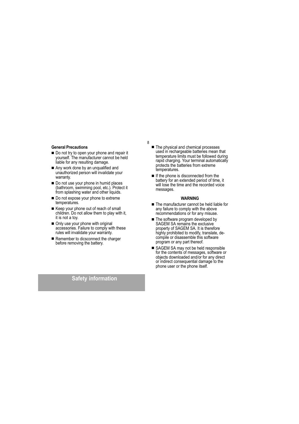#### **General Precautions**

- Do not try to open your phone and repair it but it is only to open your priority and repair it<br>yourself. The manufacturer cannot be held<br>liable for any resulting damage.
- Any work done by an unqualified and unauthorized person will invalidate your warranty.
- Do not use your phone in humid places (bathroom, swimming pool, etc.). Protect it from splashing water and other liquids.
- Do not expose your phone to extreme temperatures.
- Keep your phone out of reach of small children. Do not allow them to play with it, it is not a toy.
- Only use your phone with original accessories. Failure to comply with these rules will invalidate your warranty.
- Remember to dicsconnect the charger before removing the battery.

The physical and chemical processes used in rechargeable batteries mean that temperature limits must be followed during rapid charging. Your terminal automatically protects the batteries from extreme temperatures.

8

If the phone is disconnected from the battery for an extended period of time, it will lose the time and the recorded voice messages.

#### **WARNING**

- The manufacturer cannot be held liable for any failure to comply with the above recommendations or for any misuse.
- The software program developed by<br>SAGEM SA remains the exclusive property of SAGEM SA. It is therefore highly prohibited to modify, translate, decompile or disassemble this software program or any part thereof.
- SAGEM SA may not be held responsible for the contents of messages, software or objects downloaded and/or for any direct or indirect consequential damage to the phone user or the phone itself.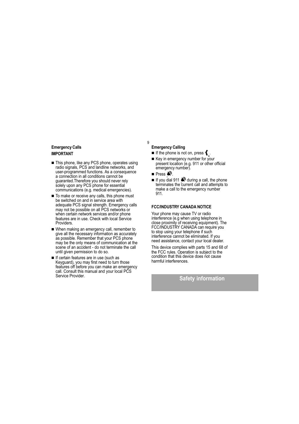### **Emergency Calls IMPORTANT**

- This phone, like any PCS phone, operates using radio signals, PCS and landline networks, and user-programmed functions. As a consequence a connection in all conditions cannot be quaranted. Therefore you should never rely solely upon any PCS phone for essential communications (e.g. medical emergencies).
- To make or receive any calls, this phone must be switched on and in service area with adequate PCS signal strength. Emergency calls may not be possible on all PCS networks or when certain network services and/or phone<br>features are in use. Check with local Service Providers.
- When making an emergency call, remember to give all the necessary information as accurately as possible. Remember that your PCS phone may be the only means of communication at the scene of an accident - do not terminate the call until given permission to do so.
- If certain features are in use (such as Reyguard), you may first need to turn those<br>features off before you can make an emergency call. Consult this manual and your local PCS Service Provider.

#### **Emergency Calling**

9

- If the phone is not on, press  $\{\cdot\}$ .
- Key in emergency number for your<br>present location (e.g. 911 or other official emergency number).
- Press  $\clubsuit$ .
- If you dial 911 < during a call, the phone terminates the current call and attempts to make a call to the emergency number 911.

#### **FCC/INDUSTRY CANADA NOTICE**

Your phone may cause TV or radio interference (e.g when using telephone in close proximity of receiving equipment). The FCC/INDUSTRY CANADA can require you to stop using your telephone if such interference cannot be eliminated. If you need assistance, contact your local dealer.

This device complies with parts 15 and 68 of the FCC rules. Operation is subject to the<br>condition that this device does not cause harmful interferences.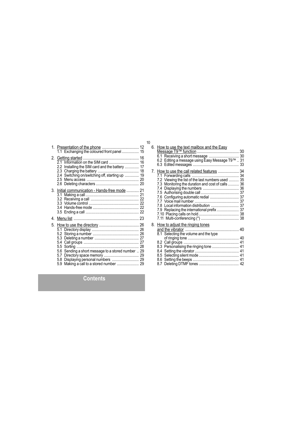| ì | v           |
|---|-------------|
|   | ٦<br>$\sim$ |
|   |             |

|    |                                                           | 10 |
|----|-----------------------------------------------------------|----|
|    |                                                           | 6. |
|    | 1.1 Exchanging the coloured front panel  15               |    |
|    |                                                           |    |
|    | 21                                                        |    |
|    | Installing the SIM card and the battery  17<br>2.2        |    |
|    | Switching on/switching off, starting up  19<br>2.4        | 7. |
|    |                                                           |    |
|    |                                                           |    |
|    | 3. Initial communication - Hands-free mode  21            |    |
|    | 3.1                                                       |    |
|    | 3.2                                                       |    |
|    |                                                           |    |
|    | 34                                                        |    |
|    |                                                           |    |
| 4. |                                                           |    |
| 5. |                                                           | 8. |
|    | 5.1                                                       |    |
|    |                                                           |    |
|    | 5.3                                                       |    |
|    | 5.4                                                       |    |
|    | $5.5^{\circ}$                                             |    |
|    | 5.6 Sending a short message to a stored number  29<br>5.7 |    |
|    | Displaying personal numbers  29<br>5.8                    |    |
|    |                                                           |    |

| 6. How to use the text mailbox and the Easy<br>6.2 Editing a message using Easy Message T9™  31                                                                                                                                                                                                                                                         |  |
|---------------------------------------------------------------------------------------------------------------------------------------------------------------------------------------------------------------------------------------------------------------------------------------------------------------------------------------------------------|--|
| 7. How to use the call related features  34<br>7.2 Viewing the list of the last numbers used  35<br>7.3 Monitoring the duration and cost of calls  36<br>7.6 Configuring automatic redial  37<br>7.9 Replacing the international prefix  37                                                                                                             |  |
| 8. How to adjust the ringing tones<br>8.1 Selecting the volume and the type<br>8.3 Personalising the ringing tone  41<br>Q & Cotting the began compared to the set of the set of the set of the set of the set of the set of the set of the set of the set of the set of the set of the set of the set of the set of the set of the set of the set of t |  |

### **Contents**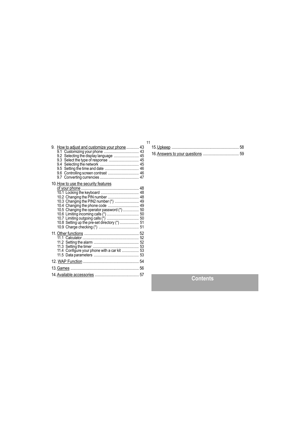| 9. How to adjust and customize your phone  43<br>9.2 Selecting the display language  45<br>9.6 Controlling screen contrast  46                                   | 11 |
|------------------------------------------------------------------------------------------------------------------------------------------------------------------|----|
| 10. How to use the security features<br>10.3 Changing the PIN2 number (*)  49<br>10.4 Changing the phone code  49<br>10.5 Changing the operator password (*)  50 |    |
| 11.4 Configure your phone with a car kit  53                                                                                                                     |    |
|                                                                                                                                                                  |    |
|                                                                                                                                                                  |    |
|                                                                                                                                                                  |    |

**Contents**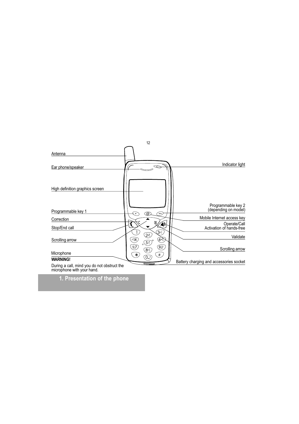

### 1. Presentation of the phone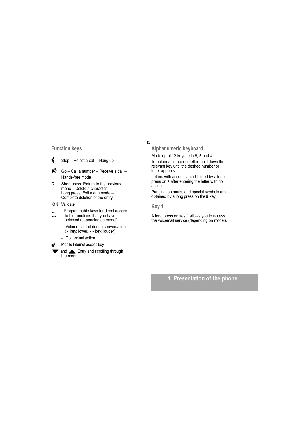### **Function keys**

- $\mathbf{f}$ Stop - Reject a call - Hang up
- $\sum_{i=1}^{n}$ Go - Call a number - Receive a call -Hands-free mode
- $\mathbf c$ Short press: Return to the previous menu – Delete a character<br>Long press: Exit menu mode – Complete deletion of the entry
- OK Validate
- Programmable keys for direct access<br>to the functions that you have  $\ddot{\phantom{0}}$
- selected (depending on model)
	- Volume control during conversation (• key: lower, • • key: louder)
	- Contextual action
- Mobile Internet access key  $@$
- and **A** Entry and scrolling through the menus.

 $13$ 

Alphanumeric keyboard

Made up of 12 keys: 0 to 9, \* and #.

To obtain a number or letter, hold down the<br>relevant key until the desired number or letter appears.

Letters with accents are obtained by a long press on  $\star$  after entering the letter with no accent.

Punctuation marks and special symbols are obtained by a long press on the # key.

#### Key 1

A long press on key 1 allows you to access the voicemail service (depending on model).

### 1. Presentation of the phone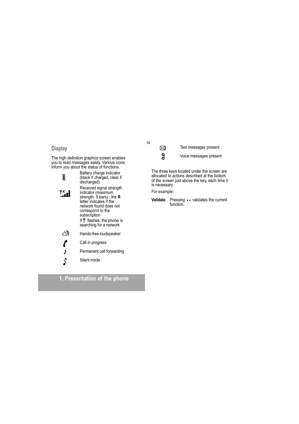### **Display**

The high definition graphics screen enables<br>you to read messages easily. Various icons<br>inform you about the status of functions.

| Ĕ      | Battery charge indicator<br>(black if charged, clear if<br>discharged)                                                                                                                                                                 |
|--------|----------------------------------------------------------------------------------------------------------------------------------------------------------------------------------------------------------------------------------------|
| าั∕ื_∎ | Received signal strength<br>indicator (maximum<br>strength: 5 bars); the $\bf R$<br>letter indicates if the<br>network found does not<br>correspond to the<br>subscription<br>If $\P$ flashes, the phone is<br>searching for a network |
|        | Hands-free loudspeaker                                                                                                                                                                                                                 |
|        | Call in progress                                                                                                                                                                                                                       |
| J      | Permanent call forwarding                                                                                                                                                                                                              |
| ⇃      | Silent mode                                                                                                                                                                                                                            |

### 1. Presentation of the phone

 $14$ 

Text messages present

 $\boxtimes$ 

 $\mathsf{g}$ 

Voice messages present

The three keys located under the screen are<br>allocated to actions described at the bottom<br>of the screen just above the key, each time it is necessary.

For example:

Pressing • • validates the current<br>function. Validate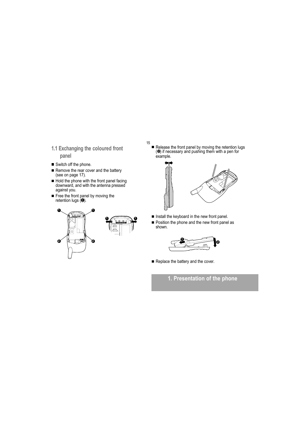- 1.1 Exchanging the coloured front panel
- Switch off the phone.
- Remove the rear cover and the battery<br>(see on page 17).
- Hold the phone with the front panel facing downward, and with the antenna pressed against you.
- Free the front panel by moving the retention lugs  $(0)$ .



15 Release the front panel by moving the retention lugs  $(2)$  if necessary and pushing them with a pen for example.



- Install the keyboard in the new front panel. ■ Position the phone and the new front panel as<br>shown.
- 



Replace the battery and the cover.

1. Presentation of the phone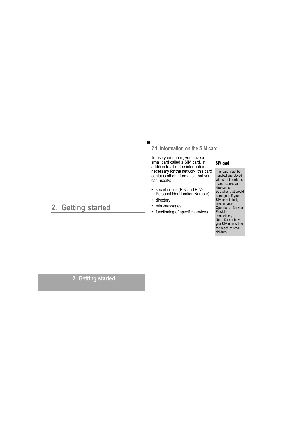#### 16

### 2.1 Information on the SIM card

To use your phone, you have a<br>small card called a SIM card. In<br>addition to all of the information recessary for the network, this card<br>contains other information that you<br>can modify:

- secret codes (PIN and PIN2 -Personal Identification Number)
- · directory
- · mini-messages
- functioning of specific services.  $\ddot{\phantom{0}}$

### SIM card

This card must be<br>handled and stored with care in order to avoid excessive stresses or scratches that would damage it. If your<br>SIM card is lost, Suite contact your<br>Operator or Service<br>Provider Provider<br>immediately.<br>Note: Do not leave<br>you SIM card within<br>the reach of small children.

## 2. Getting started

2. Getting started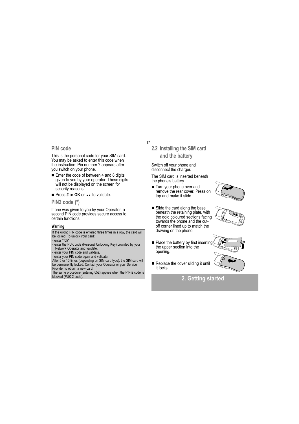#### PIN code

This is the personal code for your SIM card.<br>You may be asked to enter this code when the instruction: Pin number ? appears after you switch on your phone.

Enter the code of between 4 and 8 digits given to you by your operator. These digits<br>will not be displayed on the screen for security reasons.

Press # or OK or • • to validate.

PIN2 code (\*)

If one was given to you by your Operator, a<br>second PIN code provides secure access to certain functions.

#### Warning

If the wrong PIN code is entered three times in a row, the card will<br>be locked. To unlock your card: - enter \*\* 05\*

- enter the PUK code (Personal Unlocking Key) provided by your

- enter the Fors court (Fersonal Unionshing Ney) provided by your<br>
- enter your PIN code and validate,<br>
- enter your PIN code and validate,<br>
- enter your PIN code again and validate.<br>
After 5 or 10 times (depending on SIM Provider to obtain a new card.

The same procedure (entering 052) applies when the PIN-2 code is blocked (PUK 2 code).

#### $17$

2.2 Installing the SIM card and the battery

Switch off your phone and disconnect the charger.

The SIM card is inserted beneath the phone's battery.

- Turn your phone over and remove the rear cover. Press on top and make it slide.
- Slide the card along the base beneath the retaining plate, with the gold coloured sections facing towards the phone and the cutoff corner lined up to match the drawing on the phone.
- Place the battery by first inserting the upper section into the opening.
- Replace the cover sliding it until it locks.







2. Getting started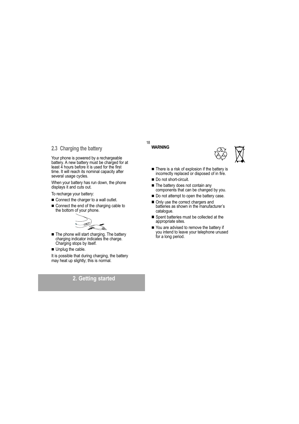### 2.3 Charging the battery

Your phone is powered by a rechargeable battery. A new battery must be charged for at least 4 hours before it is used for the first time. It will reach its nominal capacity after several usage cycles.

When your battery has run down, the phone<br>displays it and cuts out.

To recharge your battery:

- Connect the charger to a wall outlet.
- Connect the end of the charging cable to the bottom of your phone.



The phone will start charging. The battery<br>charging indicator indicates the charge. Charging stops by itself.

Unplug the cable.

It is possible that during charging, the battery may heat up slightly; this is normal.

### 2. Getting started

#### 18 **WARNING**



- There is a risk of explosion if the battery is incorrectly replaced or disposed of in fire.
- Do not short-circuit.
- The battery does not contain any components that can be changed by you.
- Do not attempt to open the battery case.
- Only use the correct chargers and batteries as shown in the manufacturer's catalogue.
- Spent batteries must be collected at the appropriate sites.
- You are advised to remove the battery if you intend to leave your telephone unused<br>for a long period.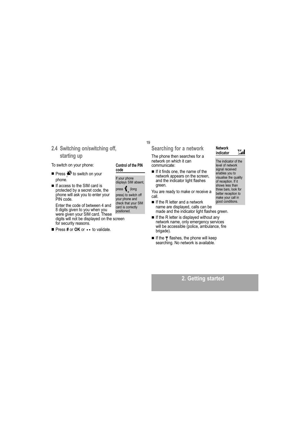### 2.4 Switching on/switching off, starting up

To switch on your phone:

- Press < to switch on your phone.
- If access to the SIM card is protected by a secret code, the phone will ask you to enter your<br>PIN code.

Enter the code of between 4 and 8 digits given to you when you<br>were given your SIM card. These digits will not be displayed on the screen for security reasons.

Press # or OK or • • to validate.

#### Control of the PIN  $code$

19

If your phone<br>displays SIM absent,

press  $\big\{ \int_{0}^{\infty}$  (long<br>press) to switch off

your phone and check that your SIM card is correctly<br>positioned.

Searching for a network

The phone then searches for a network on which it can communicate:

If it finds one, the name of the network appears on the screen, and the indicator light flashes areen.

You are ready to make or receive a call.

- $\blacksquare$  If the R letter and a network name are displayed, calls can be made and the indicator light flashes green.
- If the R letter is displayed without any n no retwork name, only emergency services<br>will be accessible (police, ambulance, fire brigade).
- If the \ flashes, the phone will keep searching. No network is available.

#### Network indicator

 $\mathbb{Y}_{n}^{\mathcal{R}}$ 

The indicator of the level of network signal received enables you to<br>visualise the quality<br>of reception. If it shows less than three bars, look for better reception to make your call in<br>good conditions.

2. Getting started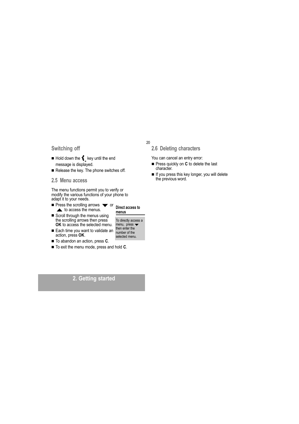### Switching off

- $\blacksquare$  Hold down the  $\big\{\!\!\!\big\}$  key until the end message is displayed.
- Release the key. The phone switches off.
- 2.5 Menu access

The menu functions permit you to verify or modify the various functions of your phone to adapt it to your needs.

- **Press the scrolling arrows**  $\blacktriangledown$  **or**  $\triangle$  to access the menus.
- Scroll through the menus using the scrolling arrows then press OK to access the selected menu.
- Each time you want to validate an the enter the action, press OK.
- To abandon an action, press C.
- To exit the menu mode, press and hold C.

#### 20

Direct access to

To directly access a

menu, press  $\blacktriangleright$ 

menus

2.6 Deleting characters

You can cancel an entry error:

- Press quickly on C to delete the last character.
- If you press this key longer, you will delete the previous word.

### 2. Getting started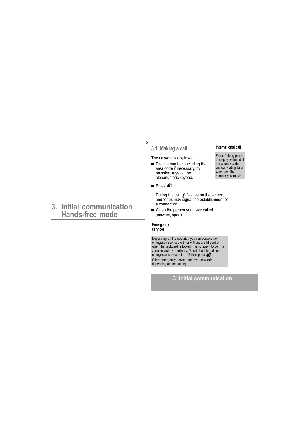### 3. Initial communication Hands-free mode

### 3.1 Making a call

The network is displayed.

- Dial the number, including the area code if necessary, by pressing keys on the<br>alphanumeric keypad.
- **Press**  $\mathbb{R}^n$ **.**

21

During the call,  $\ell$  flashes on the screen,<br>and tones may signal the establishment of a connection.

When the person you have called answers, speak.

#### Emergency services

Depending on the operator, you can contact the<br>emergency services with or without a SIM card or<br>when the keyboard is locked. It is sufficient to be in a<br>zone served by a network. To call the international<br>emergency servic depending on the country.

### 3. Initial communication

#### International call

Press 0 (long press)<br>to display + then dial<br>the country code without waiting for a<br>tone, then the number you require.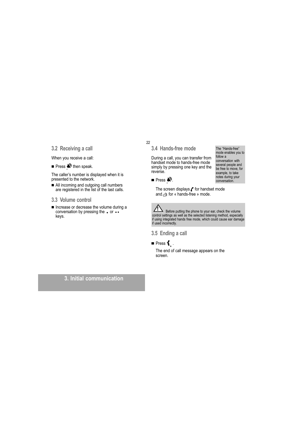### 3.2 Receiving a call

When you receive a call:

Press  $\blacklozenge$  then speak.

The caller's number is displayed when it is presented to the network.

All incoming and outgoing call numbers<br>are registered in the list of the last calls.

#### 3.3 Volume control

Increase or decrease the volume during a conversation by pressing the . or .. keys.

#### 22

3.4 Hands-free mode

During a call, you can transfer from handset mode to hands-free mode simply by pressing one key and the reverse.

**Press**  $\mathbb{R}^n$ **.** 

The screen displays *f* for handset mode and  $\otimes$  for « hands-free » mode.



The Before putting the phone to your ear, check the volume<br>control settings as well as the selected listening method, especially<br>if using integrated hands free mode, which could cause ear damage<br>if used incorrectly.

3.5 Ending a call

### **Press**  $\left\{ \right.$ .

The end of call message appears on the screen.

### 3. Initial communication

The "Hands-free" mode enables you to follow a conversation with several people and<br>be free to move, for example, to take example, to take<br>notes during your<br>conversation.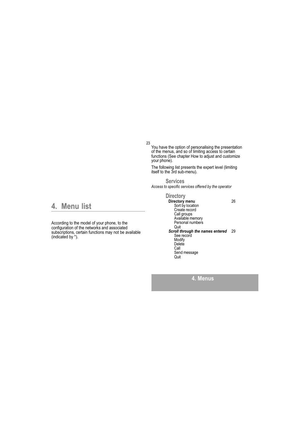23

You have the option of personalising the presentation<br>of the menus, and so of limiting access to certain<br>functions (See chapter How to adjust and customize your phone).

The following list presents the expert level (limiting<br>itself to the 3rd sub-menu).

**Services** Access to specific services offered by the operator

### 4. Menu list

According to the model of your phone, to the<br>configuration of the networks and associated subscriptions, certain functions may not be available<br>(indicated by \*).

## **Directory**

**Directory menu**<br>
Sort by location<br>
Create record<br>
Call groups<br>
Available memory<br>
Available memory 26 Personal numbers Quit<br>Scroll through the names entered 29 See record<br>Modify<br>Delete Call<br>Send message Quit

4. Menus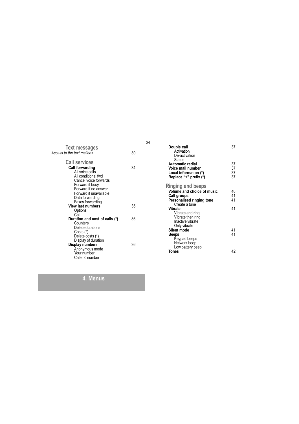| <b>Text messages</b>                                                                                                                                                              |    |
|-----------------------------------------------------------------------------------------------------------------------------------------------------------------------------------|----|
| Access to the text mailbox                                                                                                                                                        | 30 |
| <b>Call services</b>                                                                                                                                                              |    |
| <b>Call forwarding</b><br>All voice calls<br>All conditional fwd<br>Cancel voice forwards<br>Forward if busy<br>Forward if no answer<br>Forward if unavailable<br>Data forwarding | 34 |
| Faxes forwarding<br><b>View last numbers</b>                                                                                                                                      | 35 |
| Options<br>Call                                                                                                                                                                   |    |
| Duration and cost of calls (*)                                                                                                                                                    | 36 |
| Counters<br>Delete durations<br>$Costs$ $(*)$<br>Delete costs (*)<br>Display of duration<br>Display numbers<br>Anonymous mode<br>Your number<br>Callers' number                   | 36 |

| Double call<br>Activation  | 37 |
|----------------------------|----|
| De-activation              |    |
| Status                     |    |
| Automatic redial           | 37 |
| Voice mail number          | 37 |
| Local information (*)      | 37 |
| Replace "+" prefix (*)     | 37 |
| <b>Ringing and beeps</b>   |    |
| Volume and choice of music | 40 |
| <b>Call groups</b>         | 41 |
| Personalised ringing tone  | 41 |
| Create a tune              |    |
| Vibrate                    | 41 |
| Vibrate and ring           |    |
| Vibrate then ring          |    |
| Inactive vibrate           |    |
| Only vibrate               |    |
| Silent mode                | 41 |
| Beeps                      | 41 |
| Keypad beeps               |    |
| Network beep               |    |
| Low battery beep           |    |
| Tones                      | 42 |
|                            |    |

### 4. Menus

24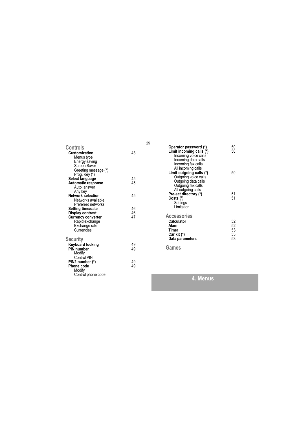| Controls<br>Customization<br>Menus type<br>Energy saving<br>Screen Saver<br>Greeting message (*)                    | 43             |
|---------------------------------------------------------------------------------------------------------------------|----------------|
| Prog. Key (*)<br>Select language<br><b>Automatic response</b><br>Auto, answer                                       | 45<br>45       |
| Any key<br><b>Network selection</b><br>Networks available<br>Preferred networks                                     | 45             |
| Setting time/date<br>Display contrast<br><b>Currency converter</b><br>Rapid exchange<br>Exchange rate<br>Currencies | 46<br>46<br>47 |
| Security<br>Keyboard locking<br>PIN number<br>Modify                                                                | 49<br>49       |
| Control PIN<br>PIN2 number (*)<br>Phone code<br>Modify<br>Control phone code                                        | 49<br>49       |

| Operator password (*)<br>Limit incoming calls (*)<br>Incoming voice calls<br>Incoming data calls<br>Incoming fax calls | 50<br>50                   |
|------------------------------------------------------------------------------------------------------------------------|----------------------------|
| All incoming calls<br>Limit outgoing calls (*)<br>Outgoing voice calls<br>Outgoing data calls<br>Outgoing fax calls    | 50                         |
| All outgoing calls<br>Pre-set directory (*)<br>Costs (*)<br>Settings<br>I imitation                                    | 51<br>51                   |
| <b>Accessories</b><br>Calculator<br>Alarm<br><b>Timer</b><br>Car kit (*)<br>Data parameters                            | 52<br>52<br>53<br>53<br>53 |
| Games                                                                                                                  |                            |

4. Menus

### 25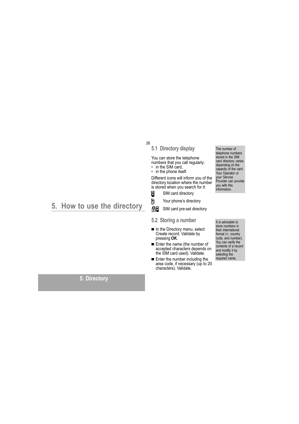26

### 5.1 Directory display

You can store the telephone numbers that you call regularly: • in the SIM card.

 $\cdot$  in the phone itself.

Different icons will inform you of the directory location where the number is stored when you search for it:

- Ø SIM card directory
- Ò

Your phone's directory

毑 SIM card pre-set directory

#### 5.2 Storing a number

- In the Directory menu, select<br>Create record. Validate by<br>pressing OK.
- Enter the name (the number of accepted characters depends on the SIM card used). Validate.
- Enter the number including the area code, if necessary (up to 20 characters). Validate.

The number of telephone numbers stored in the SIM card directory varies depending on the<br>capacity of the card. Your Operator or<br>your Service Provider can provide vou with this information.

store numbers in their international format (+, country code, and number).<br>You can verify the<br>contents of a record and modify it by<br>selecting the required name.

It is advisable to

5. How to use the directory

### 5. Directory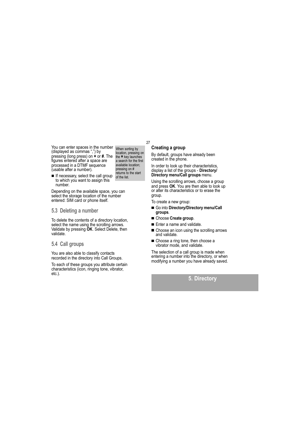You can enter spaces in the number (displayed as commas ",") by pressing (long press) on \* or #. The figures entered after a space are processed in a DTMF sequence (usable after a number).

When sorting by location, pressing on<br>the  $\star$  key launches a search for the first available location; pressing on # returns to the start<br>of the list.

27

If necessary, select the call group to which you want to assign this number. Depending on the available space, you can

select the storage location of the number entered: SIM card or phone itself.

#### 5.3 Deleting a number

To delete the contents of a directory location, select the name using the scrolling arrows.<br>Validate by pressing OK. Select Delete, then validate.

#### 5.4 Call groups

You are also able to classify contacts recorded in the directory into Call Groups.

To each of these groups you attribute certain<br>characteristics (icon, ringing tone, vibrator, etc.).

### **Creating a group**

By default, groups have already been created in the phone.

In order to look up their characteristics, display a list of the groups - Directory/ Directory menu/Call groups menu.

Using the scrolling arrows, choose a group<br>and press OK. You are then able to look up or alter its characteristics or to erase the group.

To create a new group:

- Go into Directory/Directory menu/Call groups.
- Choose Create group.
- Enter a name and validate.
- Choose an icon using the scrolling arrows and validate.
- Choose a ring tone, then choose a vibrator mode, and validate.

The selection of a call group is made when<br>entering a number into the directory, or when modifying a number you have already saved.

### 5. Directory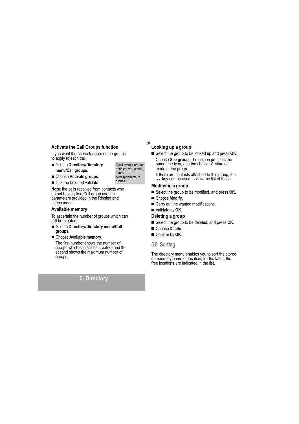### **Activate the Call Groups function**

If you want the characteristics of the groups to apply to each call:

Go into Directory/Directory menu/Call groups.

#### Choose Activate groups.

Tick the box and validate.

Note: the calls received from contacts who do not belong to a Call group use the parameters provided in the Ringing and<br>beeps menu.

#### Available memory

To ascertain the number of groups which can still be created:

Go into Directory/Directory menu/Call groups.

#### Choose Available memory.

The first number shows the number of groups which can still be created, and the second shows the maximum number of groups.

### 5. Directory

### Looking up a group

28

If call groups are not

enabled, you cannot

correspondents to groups.

attach

- Select the group to be looked up and press OK. Choose See group. The screen presents the name, the icon, and the choice of vibrator mode of the group.
	- If there are contacts attached to this group, the<br>•• key can be used to view the list of these.

### Modifying a group

- Select the group to be modified, and press OK.
- Choose Modify.
- Carry out the wanted modifications.
- Validate by OK.

#### Deleting a group

- Select the group to be deleted, and press OK.
- Choose Delete.
- Confirm by OK.

### 5.5 Sorting

The directory menu enables you to sort the stored numbers by name or location: for the latter, the free locations are indicated in the list.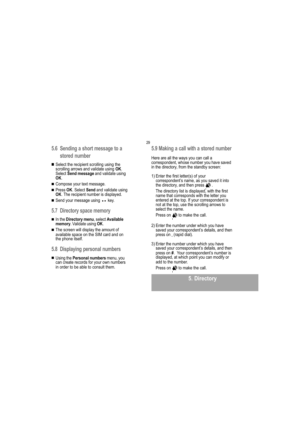- 5.6 Sending a short message to a stored number
- Select the recipient scrolling using the scrolling arrows and validate using OK. Select Send message and validate using OK.
- Compose your text message.
- Press OK. Select Send and validate using OK. The recipient number is displayed.
- Send your message using • key.
- 5.7 Directory space memory
- In the Directory menu, select Available mano Directory menta, colour
- The screen will display the amount of available space on the SIM card and on the phone itself.
- 5.8 Displaying personal numbers
- Using the Personal numbers menu, you can create records for your own numbers in order to be able to consult them.

5.9 Making a call with a stored number

29

Here are all the ways you can call a correspondent, whose number you have saved in the directory, from the standby screen:

1) Enter the first letter(s) of your correspondent's name, as you saved it into the directory, and then press  $\bigotimes$ . The directory list is displayed, with the first

name that corresponds with the letter you entered at the top. If your correspondent is not at the top, use the scrolling arrows to select the name.

Press on  $\clubsuit$  to make the call.

- 2) Enter the number under which you have saved your correspondent's details, and then press on , (rapid dial).
- 3) Enter the number under which you have saved your correspondent's details, and then press on #. Your correspondent's number is displayed, at which point you can modify or add to the number.

Press on  $\bigotimes$  to make the call.

### 5. Directory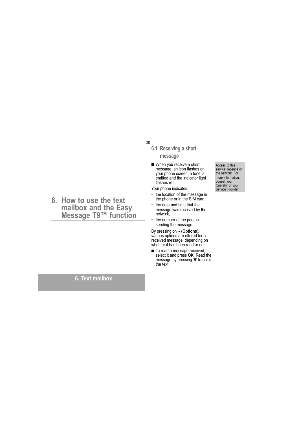30

### 6.1 Receiving a short message

■ When you receive a short message, an icon flashes on your phone screen, a tone is emitted and the indicator light flashes red.

Your phone indicates:

- the location of the message in the phone or in the SIM card,
- the date and time that the  $\bullet$ message was received by the network,
- the number of the person sending the message.

By pressing on . (Options), various options are offered for a received message, depending on<br>whether it has been read or not.

■ To read a message received,<br>select it and press OK. Read the message by pressing ▼ to scroll the text.

Access to this service depends on the network. For<br>more information, consult your<br>Operator or your Service Provider.

## 6. How to use the text mailbox and the Easy<br>Message T9™ function

### 6. Text mailbox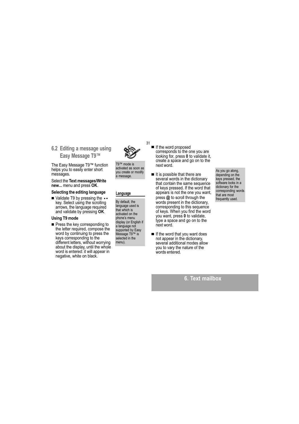### 6.2 Editing a message using Easy Message T9™

The Easy Message T9™ function helps you to easily enter short messages.

Select the Text messages/Write new... menu and press OK.

#### Selecting the editing language

■ Validate T9 by pressing the •• key. Select using the scrolling arrows, the language required and validate by pressing OK.

#### Using T9 mode

Press the key corresponding to the letter required, compose the word by continuing to press the keys corresponding to the different letters, without worrying about the display, until the whole word is entered: it will appear in negative, white on black.

T9™ mode is activated as soon as

you create or modify

a message.

Language

By default, the

that which is

language used is

activated on the

phone's menu

a language not

display (or English if

supported by Easy

Message T9™ is<br>selected in the

menu).

31

corresponds to the one you are looking for, press 0 to validate it, create a space and go on to the next word.

If the word proposed

- It is possible that there are several words in the dictionary that contain the same sequence of keys pressed. If the word that appears is not the one you want, press @ to scroll through the words present in the dictionary. corresponding to this sequence of keys. When you find the word you want, press 0 to validate, type a space and go on to the next word
- If the word that you want does not appear in the dictionary, several additional modes allow you to vary the nature of the words entered.

As you go along, depending on the keys pressed, the software looks in a dictionary for the corresponding words that are most frequently used.

6. Text mailbox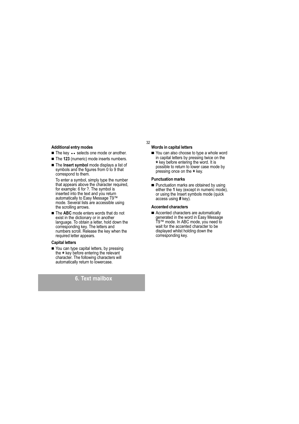#### **Additional entry modes**

- The key • selects one mode or another.
- The 123 (numeric) mode inserts numbers.
- The Insert symbol mode displays a list of symbols and the figures from 0 to 9 that correspond to them.

To enter a symbol, simply type the number that appears above the character required,<br>for example: 6 for ?. The symbol is inserted into the text and you return automatically to Easy Message T9™<br>mode. Several lists are accessible using the scrolling arrows.

The ABC mode enters words that do not exist in the dictionary or in another language. To obtain a letter, hold down the corresponding key. The letters and numbers scroll. Release the key when the required letter appears.

#### **Capital letters**

You can type capital letters, by pressing the \* key before entering the relevant character. The following characters will<br>automatically return to lowercase.

### 6. Text mailbox

#### Words in capital letters

32

You can also choose to type a whole word in capital letters by pressing twice on the \* key before entering the word. It is possible to return to lower case mode by pressing once on the \* key.

#### **Punctuation marks**

Punctuation marks are obtained by using either the 1 key (except in numeric mode), or using the Insert symbols mode (quick access using # key).

#### **Accented characters**

Accented characters are automatically denerated in the word in Easy Message<br>T9™ mode. In ABC mode, you need to wait for the accented character to be displayed whilst holding down the corresponding key.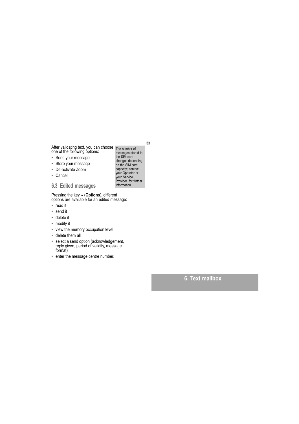After validating text, you can choose The number of<br>one of the following options: messages store

- Send your message
- · Store your message
- De-activate Zoom
- Cancel.
- 6.3 Edited messages

Pressing the key • (Options), different<br>options are available for an edited message:

- read it
- send it
- · delete it
- modify it
- 
- view the memory occupation level
- delete them all
- select a send option (acknowledgement, reply given, period of validity, message<br>format)
- enter the message centre number.

me named of<br>messages stored in<br>the SIM card the SIM card<br>changes depending<br>on the SIM card<br>capacity; contact<br>your Operator or<br>your Service<br>Provider, for further information.

### 6. Text mailbox

33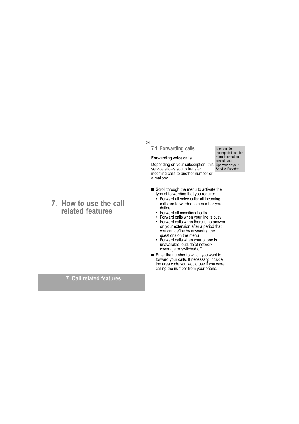34

### 7.1 Forwarding calls

#### **Forwarding voice calls**

Depending on your subscription, this Operator or your<br>service allows you to transfer Service Provider. incoming calls to another number or a mailbox.

- Scroll through the menu to activate the type of forwarding that you require:
	- Forward all voice calls: all incoming calls are forwarded to a number you define
	- Forward all conditional calls<br>• Forward calls when your line is busy
	- Forward calls when there is no answer  $\bullet$ on your extension after a period that you can define by answering the<br>questions on the menu
	- Forward calls when your phone is unavailable, outside of network coverage or switched off.
- Enter the number to which you want to<br>forward your calls. If necessary, include<br>the area code you would use if you were<br>calling the number from your phone.

### 7. How to use the call related features

### 7. Call related features

Look out for incompatibilities; for<br>more information, consult your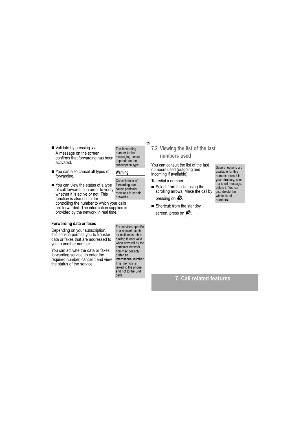- Validate by pressing •• A message on the screen confirms that forwarding has been activated.
- You can also cancel all types of forwarding.
- You can view the status of a type forwarding can of call forwarding in order to verify cause particular reactions in certain whether it is active or not. This networks function is also useful for controlling the number to which your calls are forwarded. The information supplied is provided by the network in real time.

#### Forwarding data or faxes

Depending on your subscription, this service permits you to transfer data or faxes that are addressed to you to another number.

You can activate the data or faxes forwarding service, to enter the required number, cancel it and view the status of the service.

For services specific<br>to a network, such as mailboxes, short dialling is only valid<br>when covered by the particular network. You may possibly prefer an<br>international number. This memory is<br>linked to the phone and not to the SIM card.

### 7.2 Viewing the list of the last numbers used

You can consult the list of the last numbers used (outgoing and incoming if available).

To redial a number:

■ Select from the list using the<br>scrolling arrows. Make the call by

pressing on  $\mathbb{R}^n$ .

Shortcut: from the standby screen, press on  $\clubsuit$ .

Several options are available for this number store it in your directory, send it a short message, delete it. You can also delete the whole list of numbers.

7. Call related features

35

The forwarding

number to the

messaging centre

depends on the

subscription type.

Cancellations of

Warning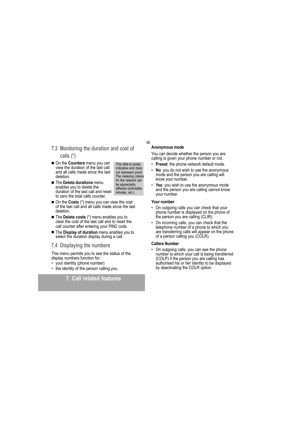### 7.3 Monitoring the duration and cost of calls  $(*)$

- On the Counters menu you can view the duration of the last call and all calls made since the last deletion
- The Delete durations menu enables you to delete the duration of the last call and reset to zero the total calls counter.
- On the Costs (\*) menu you can view the cost of the last call and all calls made since the last deletion
- The Delete costs (\*) menu enables you to clear the cost of the last call and to reset the call counter after entering your PIN2 code.
- The Display of duration menu enables you to select the duration display during a call.

#### 7.4 Displaying the numbers

This menu permits you to see the status of the display numbers function for:

- your identity (phone number)
- the identity of the person calling you.

### 7. Call related features

#### Anonymous mode

36

This data is purely

indicative and does

not represent proof.

The metering criteria

for the network can

different (indivisible

be appreciably

minutes, etc.).

You can decide whether the person you are calling is given your phone number or not.

- Preset: the phone network default mode.
- No: you do not wish to use the anonymous  $\bullet$ mode and the person you are calling will know your number.
- Yes: you wish to use the anonymous mode and the person you are calling cannot know your number.

#### Your number

- On outgoing calls you can check that your phone number is displayed on the phone of<br>the person you are calling (CLIR).
- On incoming calls, you can check that the telephone number of a phone to which you are transferring calls will appear on the phone<br>of a person calling you (COLR).

#### **Callers Number**

On outgoing calls, you can see the phone number to which your call is being transferred (COLP) if the person you are calling has<br>authorised his or her identity to be displayed by deactivating the COLR option.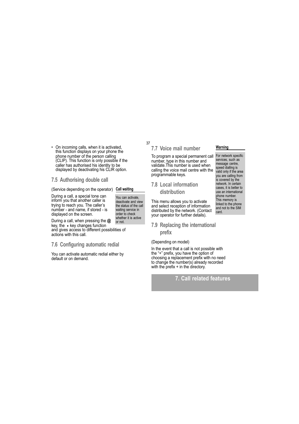On incoming calls, when it is activated,  $\bullet$ this function displays on your phone the<br>phone number of the person calling<br>(CLIP). This function is only possible if the caller has authorised his identity to be displayed by deactivating his CLIR option.

#### 7.5 Authorising double call

(Service depending on the operator) Call waiting

During a call, a special tone can inform you that another caller is trying to reach you. The caller's number - and name, if stored - is displayed on the screen.

deactivate and view the status of the call waiting service in order to check whether it is active or not.

You can activate,

During a call, when pressing the  $@$ key, the • key changes function and gives access to different possibilities of

actions with this call.

#### 7.6 Configuring automatic redial

You can activate automatic redial either by default or on demand.

### 7.7 Voice mail number

37

To program a special permanent call For network specific number, type in this number and<br>validate. This number is used when calling the voice mail centre with the programmable keys.

### **7.8 Local information** distribution

This menu allows you to activate and select reception of information distributed by the network. (Contact your operator for further details).

### 7.9 Replacing the international prefix

#### (Depending on model)

In the event that a call is not possible with the "+" prefix, you have the option of choosing a replacement prefix with no need to change the number(s) already recorded with the prefix + in the directory.

### 7. Call related features

#### Warning

services, such as message centre, speed dialling is<br>valid only if the area you are calling from<br>is covered by the network. In certain cases, it is better to use an international phone number. This memory is linked to the phone<br>and not to the SIM card.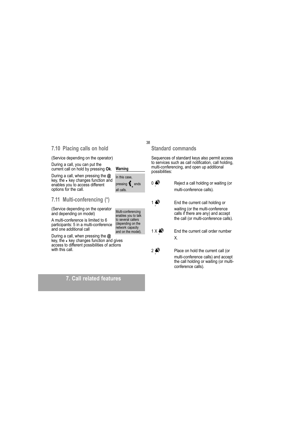### 7.10 Placing calls on hold

(Service depending on the operator)

During a call, you can put the current call on hold by pressing Ok.

During a call, when pressing the @ key, the • key changes function and enables you to access different options for the call.

#### 7.11 Multi-conferencing (\*)

(Service depending on the operator and depending on model)

A multi-conference is limited to 6 participants: 5 in a multi-conference and one additional call

During a call, when pressing the  $\omega$ key, the • key changes function and gives<br>access to different possibilities of actions with this call.

### 7. Call related features

### **Standard commands**

38

Warning

all calls.

In this case,

pressing  $\big\{\!\!\!\Big\}$  ends

Multi-conferencing<br>enables you to talk<br>to several callers

depending on the<br>network capacity

and on the model).

Sequences of standard keys also permit access to services such as call notification, call holding, multi-conferencing, and open up additional possibilities:

 $0 \blacktriangle$ Reject a call holding or waiting (or multi-conference calls).  $1 \n\clubsuit$ End the current call holding or waiting (or the multi-conference calls if there are any) and accept the call (or multi-conference calls).  $1X \rightarrow$ End the current call order number Χ.  $2 \n\mathbb{R}$ Place on hold the current call (or

multi-conference calls) and accept the call holding or waiting (or multiconference calls).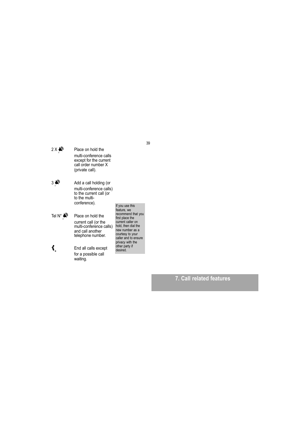- $2 \times 2^{\circ}$ Place on hold the multi-conference calls<br>except for the current call order number X (private call).
- $3 \n\triangleright$ Add a call holding (or multi-conference calls) to the current call (or to the multiconference).
- Tel N°  $\bigotimes$ Place on hold the current call (or the<br>multi-conference calls)<br>and call another telephone number.
- $\mathbf{t}$ End all calls except for a possible call waiting.

If you use this<br>feature, we<br>recommend that you<br>first place the<br>current caller on hold, then dial the nod, then dial the<br>new number as a<br>courtesy to your<br>caller and to ensure<br>privacy with the<br>other party if desired.

7. Call related features

39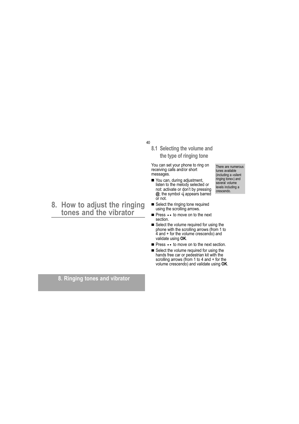#### 40

### 8.1 Selecting the volume and the type of ringing tone

You can set your phone to ring on receiving calls and/or short messages.

- You can, during adjustment, listen to the melody selected or not: activate or don't by pressing<br>
@; the symbol **=** appears barred or not.
- Select the ringing tone required using the scrolling arrows.
- Press • to move on to the next section.
- Select the volume required for using the phone with the scrolling arrows (from 1 to<br>4 and + for the volume crescendo) and validate using OK.
- Press • to move on to the next section.
- Select the volume required for using the hands free car or pedestrian kit with the<br>scrolling arrows (from 1 to 4 and + for the volume crescendo) and validate using OK.

#### tunes available (including a «silent ringing tone») and<br>several volume levels including a crescendo.

There are numerous

# 8. How to adjust the ringing<br>tones and the vibrator

8. Ringing tones and vibrator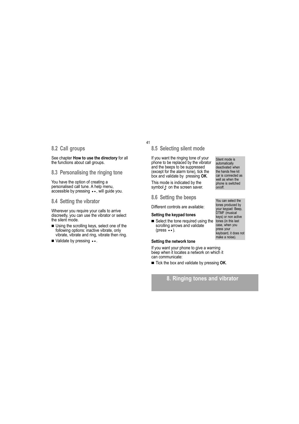#### 8.2 Call groups

See chapter How to use the directory for all the functions about call groups.

8.3 Personalising the ringing tone

You have the option of creating a personalised call tune. A help menu. accessible by pressing • •, will guide you.

#### 8.4 Setting the vibrator

Wherever you require your calls to arrive discreetly, you can use the vibrator or select the silent mode.

- Using the scrolling keys, select one of the following options: inactive vibrate, only vibrate, vibrate and ring, vibrate then ring.
- Validate by pressing ...

### 8.5 Selecting silent mode

41

If you want the ringing tone of your phone to be replaced by the vibrator and the beeps to be suppressed (except for the alarm tone), tick the box and validate by pressing OK.

This mode is indicated by the symbol  $\hat{x}$  on the screen saver.

8.6 Setting the beeps

Different controls are available:

#### Setting the keypad tones

Select the tone required using the scrolling arrows and validate (press  $\bullet \bullet$ ).

#### Setting the network tone

If you want your phone to give a warning beep when it locates a network on which it can communicate:

Tick the box and validate by pressing OK.

### 8. Ringing tones and vibrator

Silent mode is automatically deactivated when the hands free kit car is connected as well as when the phone is switched  $on/off.$ 

You can select the tones produced by your keypad: Beep,<br>DTMF (musical keys) or non active tones (in this last<br>case, when you press your keyboard, it does not make a noise).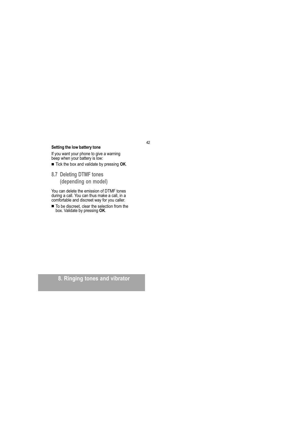#### Setting the low battery tone

If you want your phone to give a warning<br>beep when your battery is low:

Tick the box and validate by pressing OK.

8.7 Deleting DTMF tones (depending on model)

You can delete the emission of DTMF tones<br>during a call. You can thus make a call, in a<br>comfortable and discreet way for you caller.

To be discreet, clear the selection from the box. Validate by pressing OK.

8. Ringing tones and vibrator

#### 42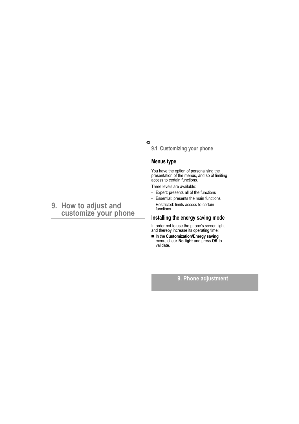43

9.1 Customizing your phone

### **Menus type**

You have the option of personalising the<br>presentation of the menus, and so of limiting access to certain functions.

Three levels are available:

- Expert: presents all of the functions
- Essential: presents the main functions
- Restricted: limits access to certain functions.

### Installing the energy saving mode

In order not to use the phone's screen light and thereby increase its operating time:

In the Customization/Energy saving<br>menu, check No light and press OK to<br>validate.

### 9. Phone adjustment

### 9. How to adjust and customize your phone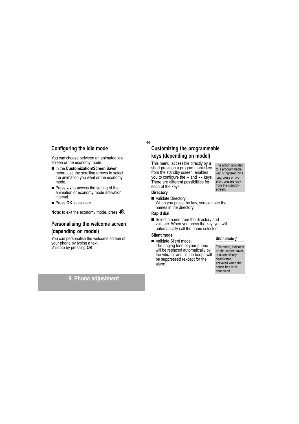### Configuring the idle mode

You can choose between an animated idle screen or the economy mode.

- In the Customization/Screen Saver menu, use the scrolling arrows to select the animation you want or the economy mode.
- Press • to access the setting of the animation or economy mode activation interval
- Press OK to validate.

Note: to exit the economy mode, press  $\clubsuit$ .

### Personalising the welcome screen (depending on model)

You can personalise the welcome screen of your phone by typing a text.<br>Validate by pressing **OK**.

### 9. Phone adjustment

### **Customizing the programmable** keys (depending on model)

This menu, accessible directly by a short press on a programmable key from the standby screen, enables you to configure the • and • • keys. There are different possibilities for each of the keys:

#### **Directory**

44

Validate Directory. When you press the key, you can see the names in the directory.

#### **Rapid dial**

Select a name from the directory and validate. When you press the key, you will automatically call the name selected.

### Silent mode

Validate Silent mode. The ringing tone of your phone will be replaced automatically by the vibrator and all the beeps will be suppressed (except for the alarm).

## Silent mode  $\hat{N}$

This mode, indicated on the screen saver, is automatically deactivated/ activated when the hands free kit is connected.

to a programmable key is triggered by a long press or two short presses only<br>from the standby screen.

The action allocated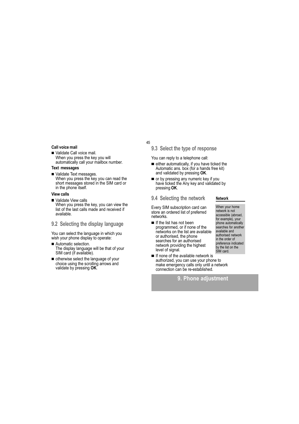#### Call voice mail

Validate Call voice mail. When you press the key you will automatically call your mailbox number.

#### **Text messages**

Validate Text messages. When you press the key you can read the short messages stored in the SIM card or in the phone itself.

#### **View calls**

- Validate View calls When you press the key, you can view the list of the last calls made and received if available.
- 9.2 Selecting the display language

You can select the language in which you wish your phone display to operate:

- Automatic selection. The display language will be that of your SIM card (if available).
- otherwise select the language of your choice using the scrolling arrows and validate by pressing OK.

#### 45

9.3 Select the type of response

You can reply to a telephone call:

- either automatically, if you have ticked the Automatic ans. box (for a hands free kit) and validated by pressing OK.
- or by pressing any numeric key if you have ticked the Any key and validated by pressing OK.

9.4 Selecting the network

Every SIM subscription card can store an ordered list of preferred networks.

- If the list has not been programmed, or if none of the networks on the list are available or authorised, the phone searches for an authorised network providing the highest level of signal.
- If none of the available network is authorized, you can use your phone to make emergency calls only until a network connection can be re-established.

9. Phone adiustment

#### Network

When your home<br>network is not accessible (abroad, for example), your<br>phone automatically searches for another available and<br>authorised network in the order of preference indicated by the list on the SIM card.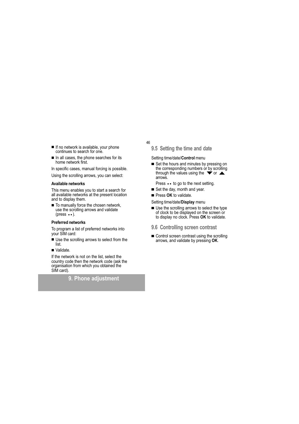- If no network is available, your phone continues to search for one.
- In all cases, the phone searches for its home network first.

In specific cases, manual forcing is possible.

Using the scrolling arrows, you can select:

#### Available networks

This menu enables you to start a search for all available networks at the present location and to display them.

To manually force the chosen network, use the scrolling arrows and validate (press  $\bullet\bullet$ ).

#### **Preferred networks**

To program a list of preferred networks into your SIM card:

- Use the scrolling arrows to select from the list.
- Validate.

If the network is not on the list, select the country code then the network code (ask the organisation from which you obtained the SIM card).

### 9. Phone adiustment

- 46
	- 9.5 Setting the time and date

Setting time/date/Control menu

- Set the hours and minutes by pressing on the corresponding numbers or by scrolling<br>through the values using the  $\blacktriangleright$  or  $\blacktriangle$ arrows.
- Press • to go to the next setting.
- Set the day, month and year.
- Press OK to validate.
- Setting time/date/Display menu
- Use the scrolling arrows to select the type<br>of clock to be displayed on the screen or<br>to display no clock. Press **OK** to validate.
- 9.6 Controlling screen contrast
- Control screen contrast using the scrolling arrows, and validate by pressing OK.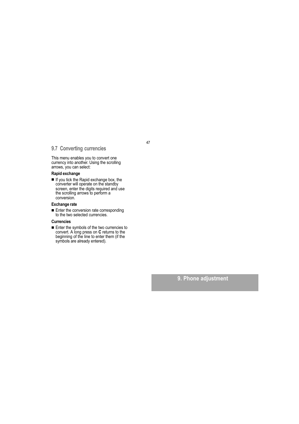### 9.7 Converting currencies

This menu enables you to convert one currency into another. Using the scrolling<br>arrows, you can select:

#### Rapid exchange

■ If you tick the Rapid exchange box, the<br>converter will operate on the standby<br>screen, enter the digits required and use the scrolling arrows to perform a conversion.

#### **Exchange rate**

Enter the conversion rate corresponding to the two selected currencies.

#### **Currencies**

Enter the symbols of the two currencies to<br>convert. A long press on  $C$  returns to the<br>beginning of the line to enter them (if the<br>symbols are already entered).

9. Phone adjustment

### 47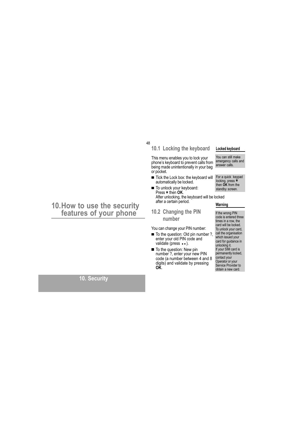### 10. How to use the security features of your phone

48

This menu enables you to lock your phone's keyboard to prevent calls from the emergency calls and<br>being made unintentionally in your bag answer calls. or pocket.

10.1 Locking the keyboard

- Tick the Lock box: the keyboard will automatically be locked.
- To unlock your keyboard:<br>Press \* then OK. After unlocking, the keyboard will be locked after a certain period. Warning

### 10.2 Changing the PIN number

You can change your PIN number:

- To the question: Old pin number ?, enter your old PIN code and validate (press ••).
- To the question: New pin<br>number ?, enter your new PIN code (a number between 4 and 8 digits) and validate by pressing<br>OK.

### Locked keyboard

You can still make

For a quick keypad<br>locking, press  $\star$ <br>then **OK** from the standby screen.

## If the wrong PIN<br>code is entered three times in a row, the<br>card will be locked. To unlock your card,

call the organisation which issued your card for guidance in unlocking it.<br>If your SIM card is permanently locked, contact your<br>Operator or your Service Provider to obtain a new card.

10. Security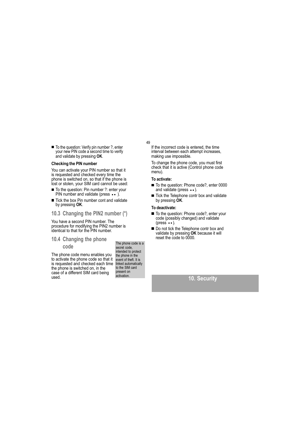■ To the question: Verify pin number ?, enter<br>your new PIN code a second time to verify and validate by pressing OK.

### **Checking the PIN number**

You can activate your PIN number so that it is requested and checked every time the phone is switched on, so that if the phone is<br>lost or stolen, your SIM card cannot be used:

- To the question: Pin number ?: enter your PIN number and validate (press  $\bullet \bullet$  ).
- Tick the box Pin number cont and validate<br>by pressing OK.
- 10.3 Changing the PIN2 number (\*)

You have a second PIN number. The procedure for modifying the PIN2 number is<br>identical to that for the PIN number.

### 10.4 Changing the phone

#### code

The phone code menu enables you to activate the phone code so that it is requested and checked each time the phone is switched on, in the case of a different SIM card being used.

The phone code is a secret code. intended to protect the phone in the event of theft. It is linked automatically<br>to the SIM card present on activation.

#### 49

If the incorrect code is entered, the time interval between each attempt increases, making use impossible.

To change the phone code, you must first check that it is active (Control phone code  $menu)$ 

#### To activate:

- To the question: Phone code?, enter 0000 and validate (press ••).
- Tick the Telephone contr box and validate by pressing OK.

#### To deactivate:

- To the question: Phone code?, enter your code (possibly changed) and validate  $(press \cdot \cdot).$
- Do not tick the Telephone contr box and validate by pressing OK because it will reset the code to 0000.

### 10. Security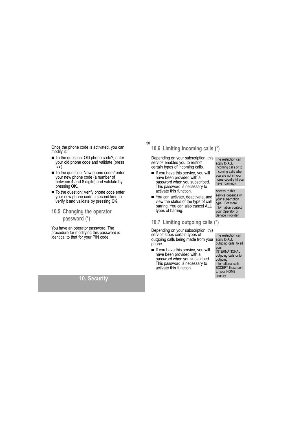Once the phone code is activated, you can modify it:

- To the question: Old phone code?, enter your old phone code and validate (press  $\bullet \bullet$ ).
- To the question: New phone code? enter your new phone code (a number of between 4 and 8 digits) and validate by pressing OK.
- To the question: Verify phone code enter your new phone code a second time to verify it and validate by pressing OK.
- 10.5 Changing the operator

#### password (\*)

You have an operator password. The procedure for modifying this password is identical to that for your PIN code.

### 10. Security

50

### 10.6 Limiting incoming calls (\*)

Depending on your subscription, this The restriction can service enables you to restrict certain types of incoming calls.

- If you have this service, you will have been provided with a password when you subscribed.<br>This password is necessary to activate this function.
- You can activate, deactivate, and view the status of the type of call barring. You can also cancel ALL types of barring.

### 10.7 Limiting outgoing calls (\*)

Depending on your subscription, this service stops certain types of outgoing calls being made from your phone.

If you have this service, you will have been provided with a password when you subscribed. This password is necessary to activate this function.

apply to ALL incoming calls or to incoming calls when you are not in your home country (if you have roaming).

Access to this service depends on your subscription type. For more information contact your Operator or<br>Service Provider.

The restriction can apply to ALL outgoing calls, to all your<br>INTERNATIONAL outgoing calls or to outgoing international calls<br>EXCEPT those sent to your HOME country.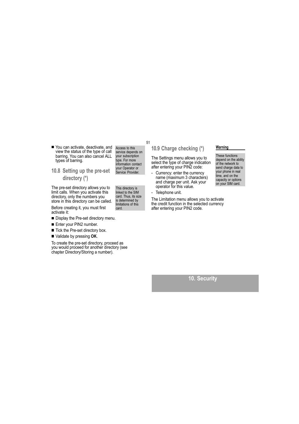- You can activate, deactivate, and view the status of the type of call barring. You can also cancel ALL types of barring.
- 10.8 Setting up the pre-set directory (\*)

The pre-set directory allows you to limit calls. When you activate this directory, only the numbers you store in this directory can be called.

Before creating it, you must first activate it:

- Display the Pre-set directory menu.
- Enter your PIN2 number.
- Tick the Pre-set directory box.
- Validate by pressing OK.

To create the pre-set directory, proceed as<br>you would proceed for another directory (see chapter Directory/Storing a number).

Access to this service depends on your subscription type. For more<br>information contact your Operator or<br>Service Provider.

51

This directory is<br>linked to the SIM card. Thus, its size is determined by limitations of this card

### 10.9 Charge checking (\*)

The Settings menu allows you to select the type of charge indication<br>after entering your PIN2 code:

- Currency: enter the currency  $\mathbf{r}$ name (maximum 3 characters) and charge per unit. Ask your operator for this value.
- Telephone unit.  $\overline{a}$

The Limitation menu allows you to activate the credit function in the selected currency after entering your PIN2 code.

#### Warning

These functions depend on the ability of the network to send charge data to your phone in real time, and on the capacity or options<br>on your SIM card.

10. Security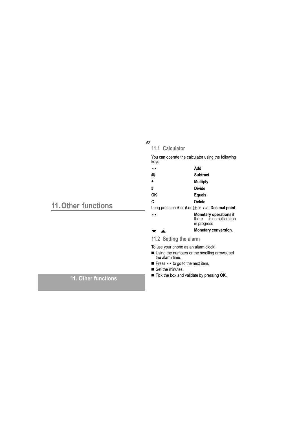|                            | 52<br>11.1 Calculator                                                  |                                                                                                                                                                                                                                                                     |  |
|----------------------------|------------------------------------------------------------------------|---------------------------------------------------------------------------------------------------------------------------------------------------------------------------------------------------------------------------------------------------------------------|--|
| <b>11. Other functions</b> | keys:<br>$\bullet$<br>@<br>$\star$<br>#<br><b>OK</b><br>C<br>$\bullet$ | You can operate the calculator using the following<br>Add<br><b>Subtract</b><br><b>Multiply</b><br><b>Divide</b><br><b>Equals</b><br><b>Delete</b><br>Long press on $*$ or # or @ or $\cdots$ : Decimal point<br><b>Monetary operations if</b>                      |  |
|                            |                                                                        | is no calculation<br>there<br>in progress<br><b>Monetary conversion.</b>                                                                                                                                                                                            |  |
|                            | 11.2 Setting the alarm                                                 |                                                                                                                                                                                                                                                                     |  |
| 11. Other functions        |                                                                        | To use your phone as an alarm clock:<br>■ Using the numbers or the scrolling arrows, set<br>the alarm time.<br><b>Press</b> $\bullet\bullet$ to go to the next item.<br>$\blacksquare$ Set the minutes.<br>$\blacksquare$ Tick the box and validate by pressing OK. |  |
|                            |                                                                        |                                                                                                                                                                                                                                                                     |  |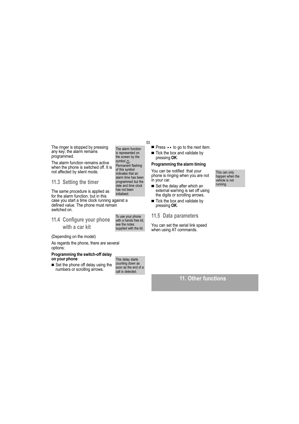The ringer is stopped by pressing<br>any key; the alarm remains programmed.

The alarm function remains active when the phone is switched off. It is not affected by silent mode.

11.3 Setting the timer

has not been The same procedure is applied as initialised. for the alarm function, but in this case you start a time clock running against a defined value. The phone must remain switched on.

11.4 Configure your phone with a car kit

(Depending on the model)

As regards the phone, there are several options:

#### Programming the switch-off delay on your phone

Set the phone off delay using the numbers or scrolling arrows.

This delay starts counting down as<br>soon as the end of a call is detected.

53

The alarm function is represented on<br>the screen by the

symbol  $\triangle$ .<br>Permanent flashing

of this symbol

indicates that an

alarm time has been

programmed but the<br>date and time clock

To use your phone<br>with a hands free kit,

supplied with the kit.

see the notes

- Press • to go to the next item.
- Tick the box and validate by pressing OK.

### Programming the alarm timing

You can be notified that your phone is ringing when you are not in your car.

- Set the delay after which an external warning is set off using the digits or scrolling arrows.
- Tick the box and validate by<br>pressing OK.

#### 11.5 Data parameters

You can set the serial link speed<br>when using AT commands.

### 11. Other functions

This can only happen when the vehicle is not running.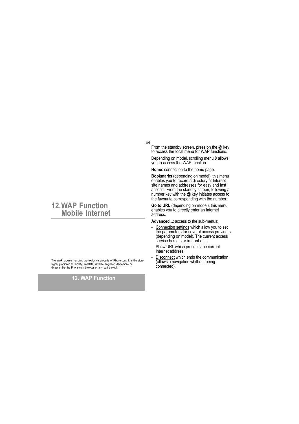#### 54

From the standby screen, press on the  $@$  key to access the local menu for WAP functions.

Depending on model, scrolling menu 0 allows you to access the WAP function.

Home: connection to the home page.

Bookmarks (depending on model): this menu enables you to record a directory of Internet stratius you to record a directory of interfect<br>site names and addresses for easy and fast<br>access. From the standby screen, following a<br>number key with the @ key initiates access to the favourite corresponding with the number.

Go to URL (depending on model): this menu<br>enables you to directly enter an Internet address.

Advanced...: access to the sub-menus:

- Connection settings which allow you to set the parameters for several access providers (depending on model). The current access<br>service has a star in front of it.
- Show URL which presents the current  $\sim$ Internet address.
- Disconnect which ends the communication (allows a navigation whithout being<br>connected).

### **12.WAP Function Mobile Internet**

The WAP browser remains the exclusive property of Phone.com. It is therefore highly prohibited to modify, translate, reverse engineer, de-compile or semble the Phone.com browser or any part thereof. die

### **12. WAP Function**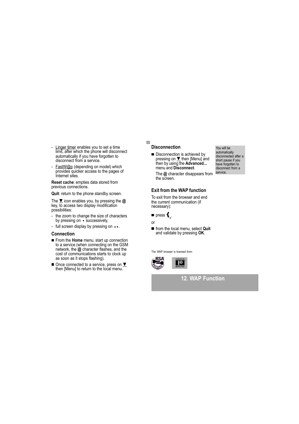- Linger timer enables you to set a time<br>limit, after which the phone will disconnect<br>automatically if you have forgotten to  $\mathbf{r}$ disconnect from a service.
- FastW@p (depending on model) which  $\sim$ provides quicker access to the pages of<br>Internet sites.

Reset cache: empties data stored from previous connections.

Quit: return to the phone standby screen.

The  $\Psi$  icon enables you, by pressing the  $@$ key,  $\overline{\text{to}}$  access two display modification possibilities:

- the zoom to change the size of characters by pressing on • successively,
- full screen display by pressing on ••.

#### **Connection**

- From the Home menu, start up connection to a service (when connecting on the GSM<br>network, the  $@$  character flashes, and the cost of communications starts to clock up as soon as it stops flashing).
- Once connected to a service, press on  $\Psi$ <br>then [Menu] to return to the local menu.

### **Disconnection**

55

■ Disconnection is achieved by<br>pressing on ▼ then [Menu] and<br>then by using the **Advanced...** menu and Disconnect.

The  $@$  character disappears from the screen.

#### **Exit from the WAP function**

To exit from the browser and end the current communication (if necessary):

### $\blacksquare$  press  $\big\{\cdot\}$ . or

- 
- from the local menu, select Quit and validate by pressing OK.

The WAP browser is licensed from:



**12. WAP Function** 

You will be automatically<br>disconnected after a short pause if you<br>have forgotten to<br>disconnect from a service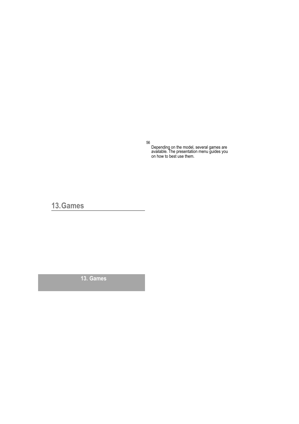56

Depending on the model, several games are<br>available. The presentation menu guides you<br>on how to best use them.

13. Games

13. Games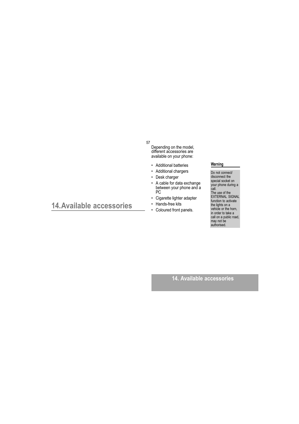#### 57

 $\bullet$ 

Depending on the model,<br>different accessories are<br>available on your phone:

- Additional batteries
- Additional chargers
- Desk charger
- A cable for data exchange<br>A cable for data exchange<br>between your phone and a<br>PC  $\ddot{\phantom{0}}$
- Cigarette lighter adapter
- Hands-free kits
- Coloured front panels.

#### Warning

Do not connect/ disconnect the<br>special socket on special socket on<br>call.<br>The use of the<br>EXTERNAL SIGNAL<br>function to activate<br>the lights on a<br>vehicle or the hom,<br>whicker to take a in order to take a<br>call on a public road,<br>may not be<br>authorised.

### 14. Available accessories

14. Available accessories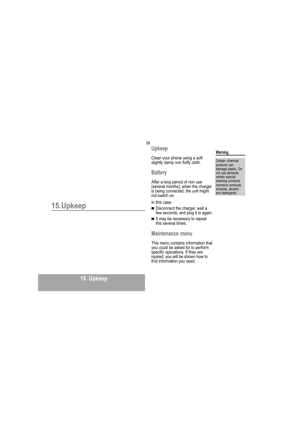### 58 Upkeep

## Clean your phone using a soft<br>slightly damp non fluffy cloth.

### **Battery**

After a long period of non use<br>(several months), when the charger<br>is being connected, the unit might<br>not switch on.

#### In this case:

- Disconnect the charger, wait a few seconds, and plug it in again.
- If may be necessary to repeat this several times.

#### Maintenance menu

This menu contains information that you could be asked for to perform<br>specific operations. If they are<br>rquired, you will be shown how to<br>find information you need.

#### Warning

Certain chemical products can damage plastic. Do<br>not use aerosols,<br>certain special cleaning products, clearing products,<br>corrosive products,<br>solvents, alcohol and detergents.

## 15.Upkeep

### 15. Upkeep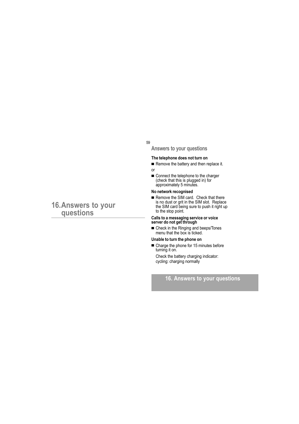59

Answers to your questions

#### The telephone does not turn on

- Remove the battery and then replace it.  $\alpha$ <sup>r</sup>
- Connect the telephone to the charger<br>(check that this is plugged in) for approximately 5 minutes.

#### No network recognised

Remove the SIM card. Check that there is no dust or grit in the SIM slot. Replace<br>the SIM card being sure to push it right up to the stop point.

## Calls to a messaging service or voice<br>server do not get through

■ Check in the Ringing and beeps/Tones<br>menu that the box is ticked.

#### Unable to turn the phone on

Charge the phone for 15 minutes before turning it on. Check the battery charging indicator:

cycling: charging normally

### 16. Answers to your questions

# 16. Answers to your<br>questions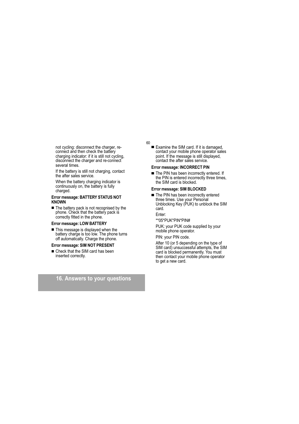not cycling: disconnect the charger, reconnect and then check the battery charging indicator: if it is still not cycling, disconnect the charger and re-connect several times.

If the battery is still not charging, contact<br>the after sales service.

When the battery charging indicator is continuously on, the battery is fully charged.

#### Error message: BATTERY STATUS NOT **KNOWN**

The battery pack is not recognised by the phone. Check that the battery pack is correctly fitted in the phone.

#### Error message: LOW BATTERY

This message is displayed when the battery charge is too low. The phone turns off automatically. Charge the phone.

#### Error message: SIM NOT PRESENT

Check that the SIM card has been inserted correctly.

### 16. Answers to your questions

60

Examine the SIM card. If it is damaged. contact your mobile phone operator sales point. If the message is still displayed, contact the after sales service.

#### Error message: INCORRECT PIN

The PIN has been incorrectly entered. If the PIN is entered incorrectly three times, the SIM card is blocked.

#### Error message: SIM BLOCKED

The PIN has been incorrectly entered three times. Use your Personal<br>Unblocking Key (PUK) to unblock the SIM card.

Enter:

\*\*05\*PUK\*PIN\*PIN#

PUK: your PUK code supplied by your mobile phone operator.

#### PIN: your PIN code.

After 10 (or 5 depending on the type of SIM card) unsuccessful attempts, the SIM card is blocked permanently. You must then contact your mobile phone operator to get a new card.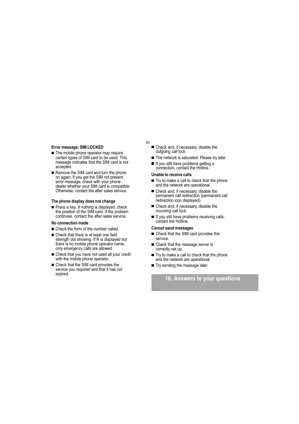#### Error message: SIM LOCKED

- The mobile phone operator may require certain types of SIM card to be used. This message indicates that the SIM card is not accepted.
- Remove the SIM card and turn the phone on again. If you get the SIM not present error message, check with your phone dealer whether your SIM card is compatible. Otherwise, contact the after sales service.

#### The phone display does not change

■ Press a key. If nothing is displayed, check<br>the position of the SIM card. If the problem continues, contact the after sales service.

#### No connection made

- Check the form of the number called.
- Check that there is at least one field strength dot showing. If R is displayed but there is no mobile phone operator name, only emergency calls are allowed.
- Check that you have not used all your credit with the mobile phone operator.
- Check that the SIM card provides the service you required and that it has not expired.

### 61

- Check and, if necessary, disable the outgoing call lock.
- The network is saturated. Please try later.
- If you still have problems getting a
- connection, contact the Hotline.

#### Unable to receive calls

- Try to make a call to check that the phone and the network are operational.
- Check and, if necessary, disable the<br>permanent call redirection (permanent call redirection icon displayed).
- Check and, if necessary, disable the incoming call lock.
- If you still have problems receiving calls,<br>contact the Hotline.

### **Cannot send messages**

- Check that the SIM card provides this service.
- Check that the message server is correctly set up.
- Try to make a call to check that the phone and the network are operational.
- Try sending the message later.

### 16. Answers to your questions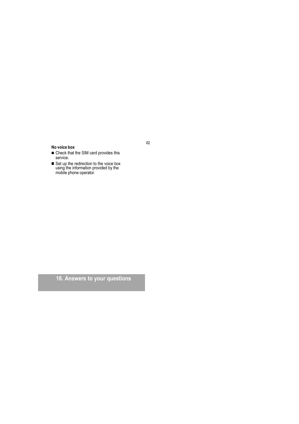#### No voice box

- Check that the SIM card provides this service.
- Service.<br>
Set up the redirection to the voice box<br>
using the information provided by the<br>
mobile phone operator.

16. Answers to your questions

62